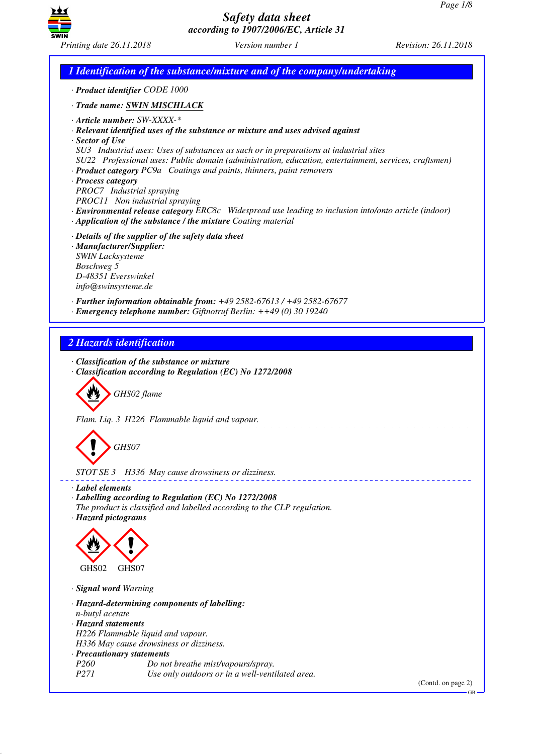

*1 Identification of the substance/mixture and of the company/undertaking · Product identifier CODE 1000 · Trade name: SWIN MISCHLACK · Article number: SW-XXXX-\* · Relevant identified uses of the substance or mixture and uses advised against · Sector of Use SU3 Industrial uses: Uses of substances as such or in preparations at industrial sites SU22 Professional uses: Public domain (administration, education, entertainment, services, craftsmen) · Product category PC9a Coatings and paints, thinners, paint removers · Process category PROC7 Industrial spraying PROC11 Non industrial spraying · Environmental release category ERC8c Widespread use leading to inclusion into/onto article (indoor) · Application of the substance / the mixture Coating material · Details of the supplier of the safety data sheet · Manufacturer/Supplier: SWIN Lacksysteme Boschweg 5 D-48351 Everswinkel info@swinsysteme.de · Further information obtainable from: +49 2582-67613 / +49 2582-67677 · Emergency telephone number: Giftnotruf Berlin: ++49 (0) 30 19240 2 Hazards identification · Classification of the substance or mixture · Classification according to Regulation (EC) No 1272/2008* d~*GHS02 flame Flam. Liq. 3 H226 Flammable liquid and vapour.* d~*GHS07 STOT SE 3 H336 May cause drowsiness or dizziness. · Label elements · Labelling according to Regulation (EC) No 1272/2008 The product is classified and labelled according to the CLP regulation. · Hazard pictograms* < GHS02  $\langle \cdot \rangle$ GHS07 *· Signal word Warning · Hazard-determining components of labelling: n-butyl acetate · Hazard statements H226 Flammable liquid and vapour. H336 May cause drowsiness or dizziness. · Precautionary statements Po not breathe mist/vapours/spray. P271 Use only outdoors or in a well-ventilated area.*

(Contd. on page 2) GB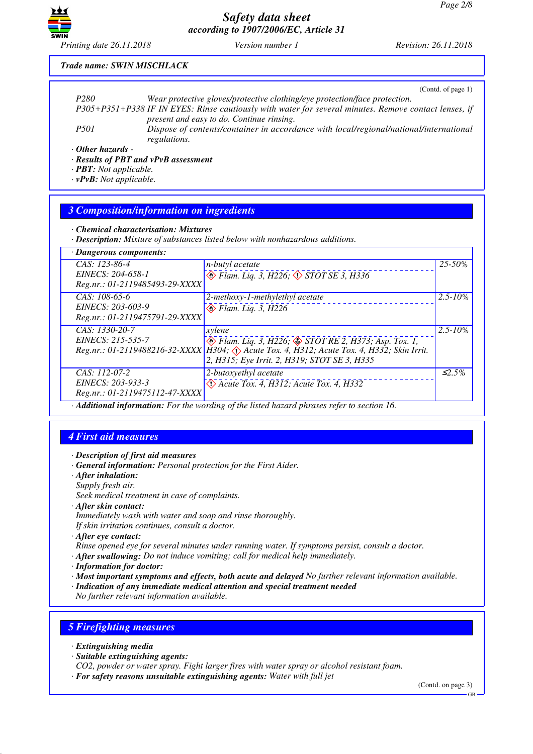

*Printing date 26.11.2018 Version number 1 Revision: 26.11.2018*

### *Trade name: SWIN MISCHLACK*

|                                    | (Cond. of page 1)                                                                                      |
|------------------------------------|--------------------------------------------------------------------------------------------------------|
| P <sub>280</sub>                   | Wear protective gloves/protective clothing/eye protection/face protection.                             |
|                                    | P305+P351+P338 IF IN EYES: Rinse cautiously with water for several minutes. Remove contact lenses, if  |
|                                    | present and easy to do. Continue rinsing.                                                              |
| <i>P501</i>                        | Dispose of contents/container in accordance with local/regional/national/international<br>regulations. |
| $\cdot$ Other hazards -<br>_ _ _ _ |                                                                                                        |

*· Results of PBT and vPvB assessment*

*· PBT: Not applicable.*

*· vPvB: Not applicable.*

### *3 Composition/information on ingredients*

*· Chemical characterisation: Mixtures*

*· Description: Mixture of substances listed below with nonhazardous additions.*

| · Dangerous components:                                                |                                                                                                                                                                                                                               |              |
|------------------------------------------------------------------------|-------------------------------------------------------------------------------------------------------------------------------------------------------------------------------------------------------------------------------|--------------|
| $CAS: 123-86-4$<br>EINECS: 204-658-1<br>Reg.nr.: 01-2119485493-29-XXXX | <i>n-butyl acetate</i><br>$\circledcirc$ Flam. Liq. 3, H226, $\circledcirc$ STOT SE 3, H336                                                                                                                                   | $25 - 50\%$  |
| CAS: 108-65-6<br>EINECS: 203-603-9<br>Reg.nr.: 01-2119475791-29-XXXX   | 2-methoxy-1-methylethyl acetate<br>$\otimes$ Flam. Liq. 3, H226                                                                                                                                                               | $2.5 - 10\%$ |
| CAS: 1330-20-7<br>EINECS: 215-535-7                                    | xylene<br>$\otimes$ Flam. Liq. 3, H226; $\otimes$ STOT RE 2, H373; Asp. Tox. 1,<br>Reg.nr.: 01-2119488216-32-XXXX   H304; Acute Tox. 4, H312; Acute Tox. 4, H332; Skin Irrit.<br>2, H315; Eye Irrit. 2, H319; STOT SE 3, H335 | $2.5 - 10\%$ |
| $CAS: 112-07-2$<br>EINECS: 203-933-3<br>Reg.nr.: 01-2119475112-47-XXXX | 2-butoxyethyl acetate<br>$\Diamond$ Acute Tox. 4, H312; Acute Tox. 4, H332                                                                                                                                                    | $\leq 2.5\%$ |
|                                                                        | $\cdot$ Additional information: For the wording of the listed hazard phrases refer to section 16                                                                                                                              |              |

*· Additional information: For the wording of the listed hazard phrases refer to section 16.*

## *4 First aid measures*

- *· Description of first aid measures*
- *· General information: Personal protection for the First Aider.*
- *· After inhalation: Supply fresh air. Seek medical treatment in case of complaints.*
- *· After skin contact:*
- *Immediately wash with water and soap and rinse thoroughly. If skin irritation continues, consult a doctor.*
- *· After eye contact:*
- *Rinse opened eye for several minutes under running water. If symptoms persist, consult a doctor.*
- *· After swallowing: Do not induce vomiting; call for medical help immediately.*
- *· Information for doctor:*
- *· Most important symptoms and effects, both acute and delayed No further relevant information available.*
- *· Indication of any immediate medical attention and special treatment needed*

*No further relevant information available.*

## *5 Firefighting measures*

- *· Extinguishing media*
- *· Suitable extinguishing agents:*

*CO2, powder or water spray. Fight larger fires with water spray or alcohol resistant foam.*

*· For safety reasons unsuitable extinguishing agents: Water with full jet*

(Contd. on page 3)

GB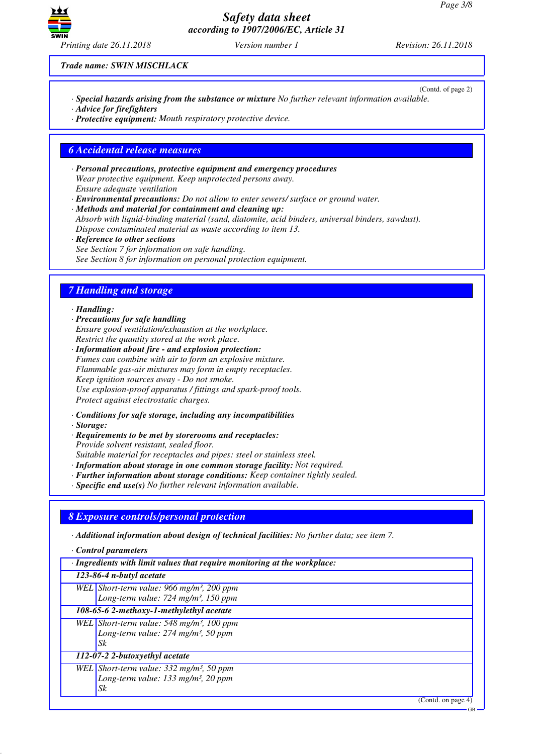

(Contd. of page 2)

*Trade name: SWIN MISCHLACK*

- *· Special hazards arising from the substance or mixture No further relevant information available.*
- *· Advice for firefighters*
- *· Protective equipment: Mouth respiratory protective device.*

### *6 Accidental release measures*

*· Personal precautions, protective equipment and emergency procedures Wear protective equipment. Keep unprotected persons away. Ensure adequate ventilation*

*· Environmental precautions: Do not allow to enter sewers/ surface or ground water.*

*· Methods and material for containment and cleaning up: Absorb with liquid-binding material (sand, diatomite, acid binders, universal binders, sawdust). Dispose contaminated material as waste according to item 13.*

*· Reference to other sections See Section 7 for information on safe handling. See Section 8 for information on personal protection equipment.*

## *7 Handling and storage*

#### *· Handling:*

- *· Precautions for safe handling Ensure good ventilation/exhaustion at the workplace. Restrict the quantity stored at the work place.*
- *· Information about fire and explosion protection: Fumes can combine with air to form an explosive mixture. Flammable gas-air mixtures may form in empty receptacles. Keep ignition sources away - Do not smoke. Use explosion-proof apparatus / fittings and spark-proof tools. Protect against electrostatic charges.*
- *· Conditions for safe storage, including any incompatibilities*
- *· Storage:*
- *· Requirements to be met by storerooms and receptacles: Provide solvent resistant, sealed floor.*
- *Suitable material for receptacles and pipes: steel or stainless steel.*
- *· Information about storage in one common storage facility: Not required.*
- *· Further information about storage conditions: Keep container tightly sealed.*
- *· Specific end use(s) No further relevant information available.*

# *8 Exposure controls/personal protection*

*· Additional information about design of technical facilities: No further data; see item 7.*

- *· Control parameters*
- *· Ingredients with limit values that require monitoring at the workplace:*

## *123-86-4 n-butyl acetate*

*WEL Short-term value: 966 mg/m³, 200 ppm Long-term value: 724 mg/m³, 150 ppm*

*108-65-6 2-methoxy-1-methylethyl acetate WEL Short-term value: 548 mg/m³, 100 ppm*

*Long-term value: 274 mg/m³, 50 ppm Sk*

## *112-07-2 2-butoxyethyl acetate*

*WEL Short-term value: 332 mg/m³, 50 ppm Long-term value: 133 mg/m³, 20 ppm Sk*

(Contd. on page 4)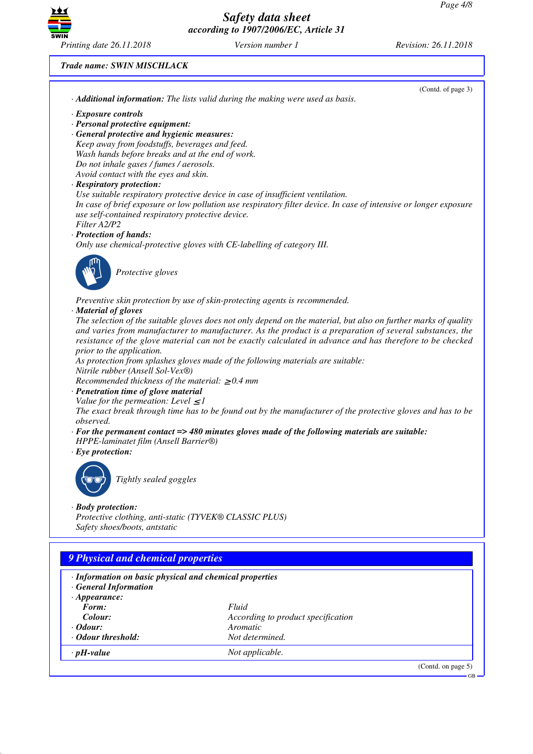

*Trade name: SWIN MISCHLACK*

| · Additional information: The lists valid during the making were used as basis.                                                                        |                                                                                                                   |
|--------------------------------------------------------------------------------------------------------------------------------------------------------|-------------------------------------------------------------------------------------------------------------------|
|                                                                                                                                                        |                                                                                                                   |
| · Exposure controls                                                                                                                                    |                                                                                                                   |
| · Personal protective equipment:                                                                                                                       |                                                                                                                   |
| · General protective and hygienic measures:                                                                                                            |                                                                                                                   |
| Keep away from foodstuffs, beverages and feed.                                                                                                         |                                                                                                                   |
| Wash hands before breaks and at the end of work.                                                                                                       |                                                                                                                   |
| Do not inhale gases / fumes / aerosols.                                                                                                                |                                                                                                                   |
| Avoid contact with the eyes and skin.                                                                                                                  |                                                                                                                   |
| · Respiratory protection:                                                                                                                              | Use suitable respiratory protective device in case of insufficient ventilation.                                   |
|                                                                                                                                                        | In case of brief exposure or low pollution use respiratory filter device. In case of intensive or longer exposure |
| use self-contained respiratory protective device.                                                                                                      |                                                                                                                   |
| Filter A2/P2                                                                                                                                           |                                                                                                                   |
| · Protection of hands:                                                                                                                                 |                                                                                                                   |
|                                                                                                                                                        | Only use chemical-protective gloves with CE-labelling of category III.                                            |
|                                                                                                                                                        |                                                                                                                   |
|                                                                                                                                                        |                                                                                                                   |
| Protective gloves                                                                                                                                      |                                                                                                                   |
|                                                                                                                                                        |                                                                                                                   |
|                                                                                                                                                        | Preventive skin protection by use of skin-protecting agents is recommended.                                       |
| · Material of gloves                                                                                                                                   |                                                                                                                   |
|                                                                                                                                                        | The selection of the suitable gloves does not only depend on the material, but also on further marks of quality   |
|                                                                                                                                                        | and varies from manufacturer to manufacturer. As the product is a preparation of several substances, the          |
|                                                                                                                                                        | resistance of the glove material can not be exactly calculated in advance and has therefore to be checked         |
| prior to the application.                                                                                                                              |                                                                                                                   |
| Nitrile rubber (Ansell Sol-Vex®)                                                                                                                       | As protection from splashes gloves made of the following materials are suitable:                                  |
| Recommended thickness of the material: $\geq 0.4$ mm                                                                                                   |                                                                                                                   |
| · Penetration time of glove material                                                                                                                   |                                                                                                                   |
| Value for the permeation: Level $\leq$ 1                                                                                                               |                                                                                                                   |
|                                                                                                                                                        | The exact break through time has to be found out by the manufacturer of the protective gloves and has to be       |
| observed.                                                                                                                                              |                                                                                                                   |
|                                                                                                                                                        | $\cdot$ For the permanent contact => 480 minutes gloves made of the following materials are suitable:             |
| HPPE-laminatet film (Ansell Barrier®)                                                                                                                  |                                                                                                                   |
| $\cdot$ Eye protection:                                                                                                                                |                                                                                                                   |
|                                                                                                                                                        |                                                                                                                   |
| Tightly sealed goggles                                                                                                                                 |                                                                                                                   |
|                                                                                                                                                        |                                                                                                                   |
|                                                                                                                                                        |                                                                                                                   |
|                                                                                                                                                        |                                                                                                                   |
|                                                                                                                                                        |                                                                                                                   |
| Protective clothing, anti-static (TYVEK® CLASSIC PLUS)                                                                                                 |                                                                                                                   |
| Safety shoes/boots, antstatic                                                                                                                          |                                                                                                                   |
| · Body protection:                                                                                                                                     |                                                                                                                   |
|                                                                                                                                                        |                                                                                                                   |
|                                                                                                                                                        |                                                                                                                   |
|                                                                                                                                                        |                                                                                                                   |
|                                                                                                                                                        |                                                                                                                   |
|                                                                                                                                                        |                                                                                                                   |
| 9 Physical and chemical properties<br>· Information on basic physical and chemical properties<br>· General Information<br>$\cdot$ Appearance:<br>Form: | Fluid                                                                                                             |
| Colour:                                                                                                                                                | According to product specification                                                                                |
| $\cdot$ Odour:                                                                                                                                         | Aromatic                                                                                                          |
| · Odour threshold:<br>$\cdot$ pH-value                                                                                                                 | Not determined.<br>Not applicable.                                                                                |

GB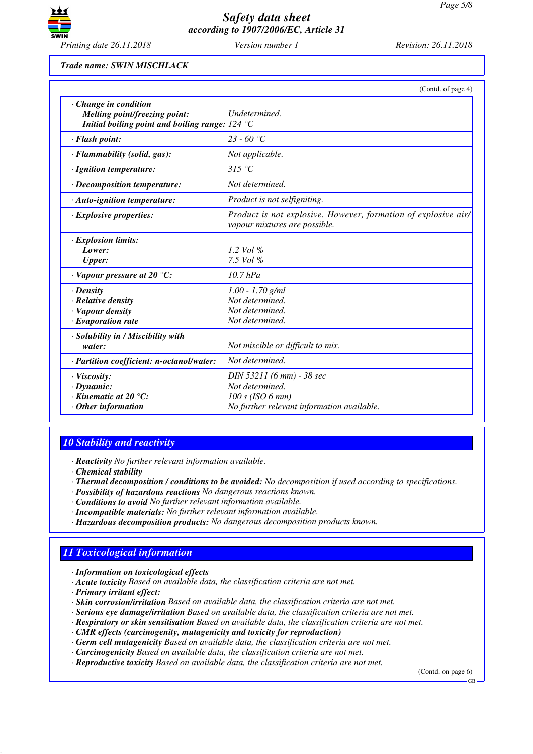

*Trade name: SWIN MISCHLACK*

|                                                                                                                   | (Contd. of page 4)                                                                                               |
|-------------------------------------------------------------------------------------------------------------------|------------------------------------------------------------------------------------------------------------------|
| $\cdot$ Change in condition<br>Melting point/freezing point:<br>Initial boiling point and boiling range: $124 °C$ | Undetermined.                                                                                                    |
| · Flash point:                                                                                                    | $23 - 60 °C$                                                                                                     |
| · Flammability (solid, gas):                                                                                      | Not applicable.                                                                                                  |
| · Ignition temperature:                                                                                           | 315 °C                                                                                                           |
| · Decomposition temperature:                                                                                      | Not determined.                                                                                                  |
| · Auto-ignition temperature:                                                                                      | Product is not selfigniting.                                                                                     |
| $\cdot$ Explosive properties:                                                                                     | Product is not explosive. However, formation of explosive air/<br>vapour mixtures are possible.                  |
| · Explosion limits:<br>Lower:<br><b>Upper:</b>                                                                    | 1.2 Vol $\%$<br>7.5 Vol $%$                                                                                      |
| $\cdot$ Vapour pressure at 20 $\degree$ C:                                                                        | $10.7$ $hPa$                                                                                                     |
| $\cdot$ Density<br>· Relative density<br>· Vapour density<br>$\cdot$ Evaporation rate                             | $1.00 - 1.70$ g/ml<br>Not determined.<br>Not determined.<br>Not determined.                                      |
| · Solubility in / Miscibility with<br>water:                                                                      | Not miscible or difficult to mix.                                                                                |
| · Partition coefficient: n-octanol/water:                                                                         | Not determined.                                                                                                  |
| · Viscosity:<br>$\cdot$ Dynamic:<br>$\cdot$ Kinematic at 20 $\degree$ C:<br>$\cdot$ Other information             | DIN 53211 (6 mm) - 38 sec<br>Not determined.<br>$100 s$ (ISO 6 mm)<br>No further relevant information available. |

## *10 Stability and reactivity*

*· Reactivity No further relevant information available.*

- *· Thermal decomposition / conditions to be avoided: No decomposition if used according to specifications.*
- *· Possibility of hazardous reactions No dangerous reactions known.*
- *· Conditions to avoid No further relevant information available.*
- *· Incompatible materials: No further relevant information available.*
- *· Hazardous decomposition products: No dangerous decomposition products known.*

# *11 Toxicological information*

- *· Information on toxicological effects*
- *· Acute toxicity Based on available data, the classification criteria are not met.*
- *· Primary irritant effect:*
- *· Skin corrosion/irritation Based on available data, the classification criteria are not met.*
- *· Serious eye damage/irritation Based on available data, the classification criteria are not met.*
- *· Respiratory or skin sensitisation Based on available data, the classification criteria are not met.*
- *· CMR effects (carcinogenity, mutagenicity and toxicity for reproduction)*
- *· Germ cell mutagenicity Based on available data, the classification criteria are not met.*
- *· Carcinogenicity Based on available data, the classification criteria are not met.*
- *· Reproductive toxicity Based on available data, the classification criteria are not met.*

(Contd. on page 6)

*<sup>·</sup> Chemical stability*

GB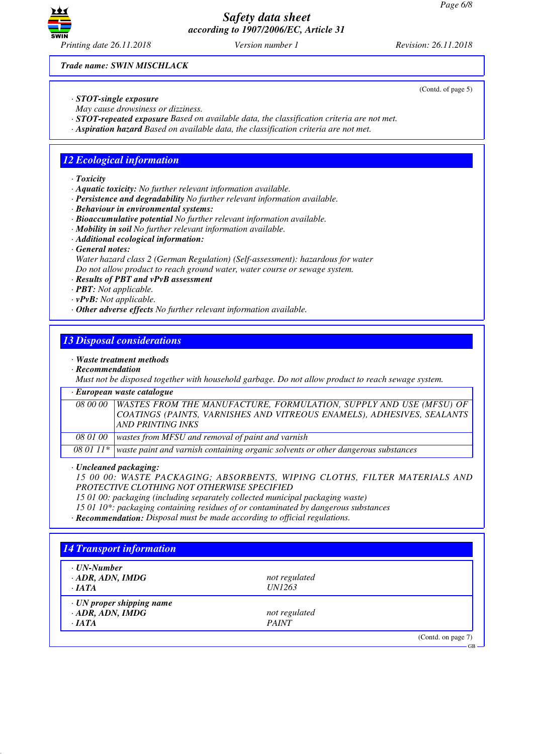

*Trade name: SWIN MISCHLACK*

- *· STOT-single exposure*
- *May cause drowsiness or dizziness.*
- *· STOT-repeated exposure Based on available data, the classification criteria are not met.*
- *· Aspiration hazard Based on available data, the classification criteria are not met.*

## *12 Ecological information*

*· Toxicity*

- *· Aquatic toxicity: No further relevant information available.*
- *· Persistence and degradability No further relevant information available.*
- *· Behaviour in environmental systems:*
- *· Bioaccumulative potential No further relevant information available.*
- *· Mobility in soil No further relevant information available.*
- *· Additional ecological information:*
- *· General notes:*

*Water hazard class 2 (German Regulation) (Self-assessment): hazardous for water Do not allow product to reach ground water, water course or sewage system.*

- *· Results of PBT and vPvB assessment*
- *· PBT: Not applicable.*
- *· vPvB: Not applicable.*
- *· Other adverse effects No further relevant information available.*

## *13 Disposal considerations*

- *· Waste treatment methods*
- *· Recommendation*

*Must not be disposed together with household garbage. Do not allow product to reach sewage system.*

*· European waste catalogue*

|          | 08 00 00   WASTES FROM THE MANUFACTURE, FORMULATION, SUPPLY AND USE (MFSU) OF |
|----------|-------------------------------------------------------------------------------|
|          | COATINGS (PAINTS, VARNISHES AND VITREOUS ENAMELS), ADHESIVES, SEALANTS        |
|          | <b>AND PRINTING INKS</b>                                                      |
| 08 01 00 | wastes from MFSU and removal of paint and varnish                             |

*08 01 11\* waste paint and varnish containing organic solvents or other dangerous substances*

*· Uncleaned packaging:*

*15 00 00: WASTE PACKAGING; ABSORBENTS, WIPING CLOTHS, FILTER MATERIALS AND PROTECTIVE CLOTHING NOT OTHERWISE SPECIFIED*

*15 01 00: packaging (including separately collected municipal packaging waste)*

*15 01 10\*: packaging containing residues of or contaminated by dangerous substances*

*· Recommendation: Disposal must be made according to official regulations.*

| $\cdot$ UN-Number               |               |  |
|---------------------------------|---------------|--|
| $\cdot$ ADR, ADN, IMDG          | not regulated |  |
| $\cdot$ IATA                    | <i>UN1263</i> |  |
| $\cdot$ UN proper shipping name |               |  |
| $\cdot$ ADR, ADN, IMDG          | not regulated |  |
| $\cdot$ IATA                    | <b>PAINT</b>  |  |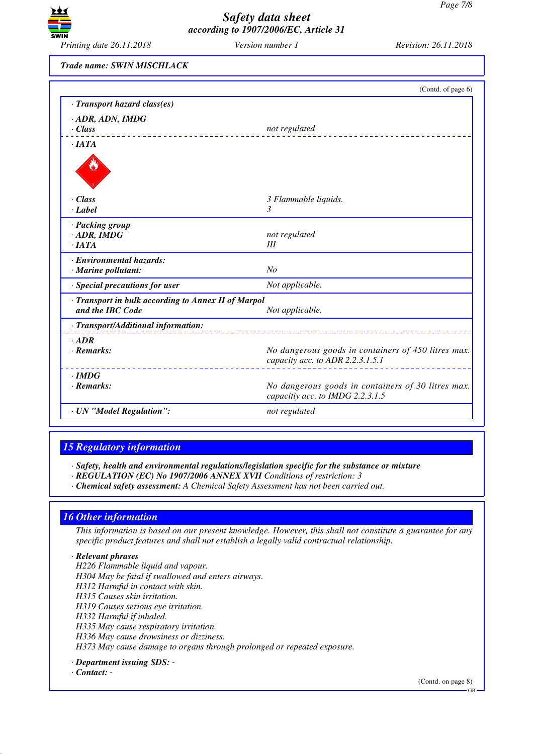

*Trade name: SWIN MISCHLACK*

|                                                     | (Contd. of page 6)                                                                      |
|-----------------------------------------------------|-----------------------------------------------------------------------------------------|
| · Transport hazard class(es)                        |                                                                                         |
| · ADR, ADN, IMDG                                    |                                                                                         |
| $\cdot$ Class                                       | not regulated                                                                           |
| ·IATA                                               |                                                                                         |
|                                                     |                                                                                         |
| $\cdot Class$                                       | 3 Flammable liquids.                                                                    |
| · Label                                             | 3                                                                                       |
| · Packing group                                     |                                                                                         |
| $\cdot$ ADR, IMDG                                   | not regulated                                                                           |
| $\cdot$ IATA                                        | Ш                                                                                       |
| · Environmental hazards:                            |                                                                                         |
| · Marine pollutant:                                 | N <sub>O</sub>                                                                          |
| · Special precautions for user                      | Not applicable.                                                                         |
| · Transport in bulk according to Annex II of Marpol |                                                                                         |
| and the IBC Code                                    | Not applicable.                                                                         |
| · Transport/Additional information:                 |                                                                                         |
| $·$ <i>ADR</i>                                      |                                                                                         |
| $\cdot$ Remarks:                                    | No dangerous goods in containers of 450 litres max.<br>capacity acc. to ADR 2.2.3.1.5.1 |
| $\cdot$ IMDG                                        |                                                                                         |
| $\cdot$ Remarks:                                    | No dangerous goods in containers of 30 litres max.<br>capacitiy acc. to IMDG 2.2.3.1.5  |
| · UN "Model Regulation":                            | not regulated                                                                           |

## *15 Regulatory information*

*· Safety, health and environmental regulations/legislation specific for the substance or mixture*

- *· REGULATION (EC) No 1907/2006 ANNEX XVII Conditions of restriction: 3*
- *· Chemical safety assessment: A Chemical Safety Assessment has not been carried out.*

### *16 Other information*

*This information is based on our present knowledge. However, this shall not constitute a guarantee for any specific product features and shall not establish a legally valid contractual relationship.*

#### *· Relevant phrases*

- *H226 Flammable liquid and vapour.*
- *H304 May be fatal if swallowed and enters airways.*
- *H312 Harmful in contact with skin.*
- *H315 Causes skin irritation.*
- *H319 Causes serious eye irritation.*
- *H332 Harmful if inhaled.*
- *H335 May cause respiratory irritation.*
- *H336 May cause drowsiness or dizziness.*

*H373 May cause damage to organs through prolonged or repeated exposure.*

*· Department issuing SDS: -* 

#### *· Contact: -*

(Contd. on page 8)

GB